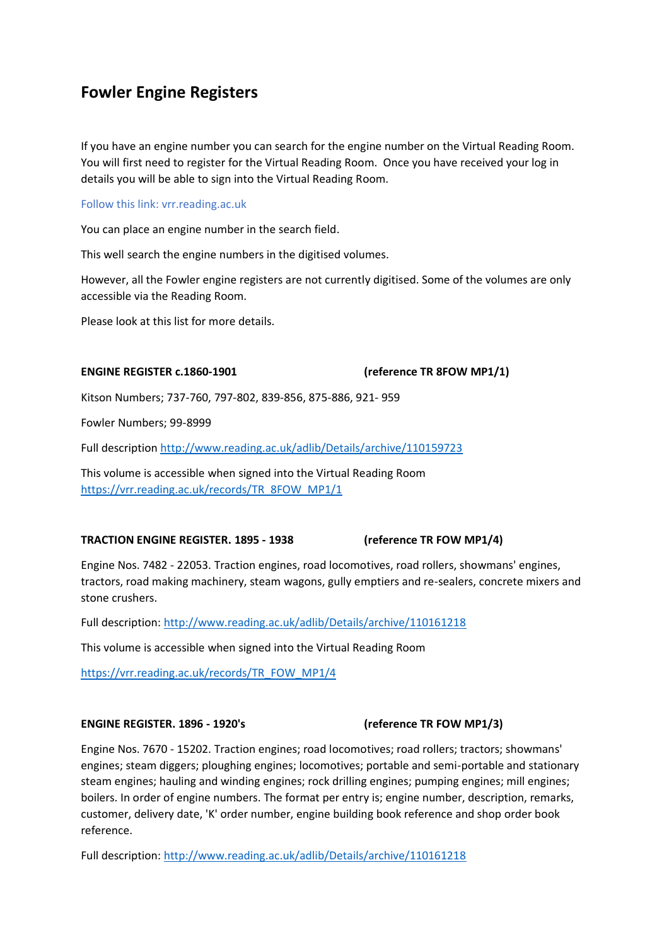# **Fowler Engine Registers**

If you have an engine number you can search for the engine number on the Virtual Reading Room. You will first need to register for the Virtual Reading Room. Once you have received your log in details you will be able to sign into the Virtual Reading Room.

## Follow this link: vrr.reading.ac.uk

You can place an engine number in the search field.

This well search the engine numbers in the digitised volumes.

However, all the Fowler engine registers are not currently digitised. Some of the volumes are only accessible via the Reading Room.

Please look at this list for more details.

### **ENGINE REGISTER c.1860-1901 (reference TR 8FOW MP1/1)**

Kitson Numbers; 737-760, 797-802, 839-856, 875-886, 921- 959

Fowler Numbers; 99-8999

Full description<http://www.reading.ac.uk/adlib/Details/archive/110159723>

This volume is accessible when signed into the Virtual Reading Room [https://vrr.reading.ac.uk/records/TR\\_8FOW\\_MP1/1](https://vrr.reading.ac.uk/records/TR_8FOW_MP1/1)

# **TRACTION ENGINE REGISTER. 1895 - 1938 (reference TR FOW MP1/4)**

Engine Nos. 7482 - 22053. Traction engines, road locomotives, road rollers, showmans' engines, tractors, road making machinery, steam wagons, gully emptiers and re-sealers, concrete mixers and stone crushers.

Full description:<http://www.reading.ac.uk/adlib/Details/archive/110161218>

This volume is accessible when signed into the Virtual Reading Room

[https://vrr.reading.ac.uk/records/TR\\_FOW\\_MP1/4](https://vrr.reading.ac.uk/records/TR_FOW_MP1/4)

### **ENGINE REGISTER. 1896 - 1920's (reference TR FOW MP1/3)**

Engine Nos. 7670 - 15202. Traction engines; road locomotives; road rollers; tractors; showmans' engines; steam diggers; ploughing engines; locomotives; portable and semi-portable and stationary steam engines; hauling and winding engines; rock drilling engines; pumping engines; mill engines; boilers. In order of engine numbers. The format per entry is; engine number, description, remarks, customer, delivery date, 'K' order number, engine building book reference and shop order book reference.

Full description:<http://www.reading.ac.uk/adlib/Details/archive/110161218>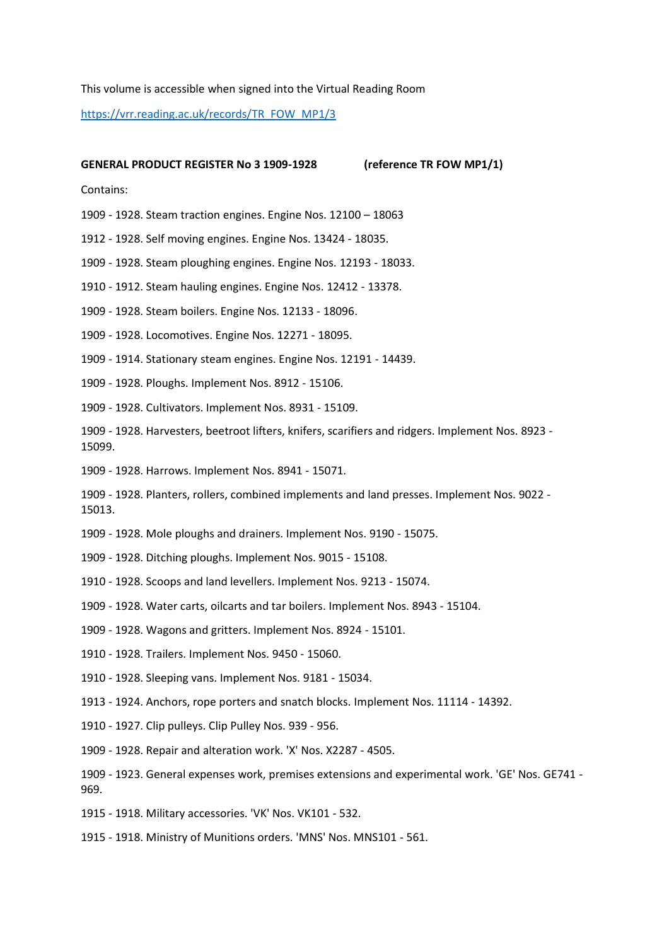This volume is accessible when signed into the Virtual Reading Room

[https://vrr.reading.ac.uk/records/TR\\_FOW\\_MP1/3](https://vrr.reading.ac.uk/records/TR_FOW_MP1/3)

#### **GENERAL PRODUCT REGISTER No 3 1909-1928 (reference TR FOW MP1/1)**

Contains:

1909 - 1928. Steam traction engines. Engine Nos. 12100 – 18063

1912 - 1928. Self moving engines. Engine Nos. 13424 - 18035.

1909 - 1928. Steam ploughing engines. Engine Nos. 12193 - 18033.

1910 - 1912. Steam hauling engines. Engine Nos. 12412 - 13378.

1909 - 1928. Steam boilers. Engine Nos. 12133 - 18096.

1909 - 1928. Locomotives. Engine Nos. 12271 - 18095.

1909 - 1914. Stationary steam engines. Engine Nos. 12191 - 14439.

1909 - 1928. Ploughs. Implement Nos. 8912 - 15106.

1909 - 1928. Cultivators. Implement Nos. 8931 - 15109.

1909 - 1928. Harvesters, beetroot lifters, knifers, scarifiers and ridgers. Implement Nos. 8923 - 15099.

1909 - 1928. Harrows. Implement Nos. 8941 - 15071.

1909 - 1928. Planters, rollers, combined implements and land presses. Implement Nos. 9022 - 15013.

1909 - 1928. Mole ploughs and drainers. Implement Nos. 9190 - 15075.

1909 - 1928. Ditching ploughs. Implement Nos. 9015 - 15108.

1910 - 1928. Scoops and land levellers. Implement Nos. 9213 - 15074.

1909 - 1928. Water carts, oilcarts and tar boilers. Implement Nos. 8943 - 15104.

1909 - 1928. Wagons and gritters. Implement Nos. 8924 - 15101.

1910 - 1928. Trailers. Implement Nos. 9450 - 15060.

1910 - 1928. Sleeping vans. Implement Nos. 9181 - 15034.

1913 - 1924. Anchors, rope porters and snatch blocks. Implement Nos. 11114 - 14392.

1910 - 1927. Clip pulleys. Clip Pulley Nos. 939 - 956.

1909 - 1928. Repair and alteration work. 'X' Nos. X2287 - 4505.

1909 - 1923. General expenses work, premises extensions and experimental work. 'GE' Nos. GE741 - 969.

1915 - 1918. Military accessories. 'VK' Nos. VK101 - 532.

1915 - 1918. Ministry of Munitions orders. 'MNS' Nos. MNS101 - 561.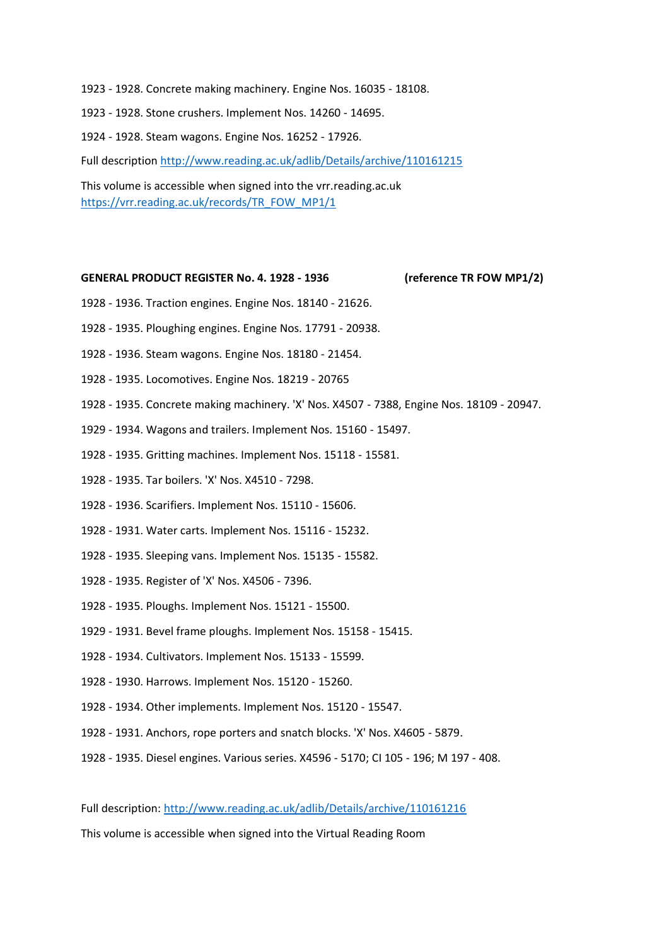1923 - 1928. Concrete making machinery. Engine Nos. 16035 - 18108.

1923 - 1928. Stone crushers. Implement Nos. 14260 - 14695.

1924 - 1928. Steam wagons. Engine Nos. 16252 - 17926.

Full description<http://www.reading.ac.uk/adlib/Details/archive/110161215>

This volume is accessible when signed into the vrr.reading.ac.uk [https://vrr.reading.ac.uk/records/TR\\_FOW\\_MP1/1](https://vrr.reading.ac.uk/records/TR_FOW_MP1/1)

#### **GENERAL PRODUCT REGISTER No. 4. 1928 - 1936 (reference TR FOW MP1/2)**

- 1928 1936. Traction engines. Engine Nos. 18140 21626.
- 1928 1935. Ploughing engines. Engine Nos. 17791 20938.
- 1928 1936. Steam wagons. Engine Nos. 18180 21454.
- 1928 1935. Locomotives. Engine Nos. 18219 20765
- 1928 1935. Concrete making machinery. 'X' Nos. X4507 7388, Engine Nos. 18109 20947.
- 1929 1934. Wagons and trailers. Implement Nos. 15160 15497.
- 1928 1935. Gritting machines. Implement Nos. 15118 15581.
- 1928 1935. Tar boilers. 'X' Nos. X4510 7298.
- 1928 1936. Scarifiers. Implement Nos. 15110 15606.
- 1928 1931. Water carts. Implement Nos. 15116 15232.
- 1928 1935. Sleeping vans. Implement Nos. 15135 15582.
- 1928 1935. Register of 'X' Nos. X4506 7396.
- 1928 1935. Ploughs. Implement Nos. 15121 15500.
- 1929 1931. Bevel frame ploughs. Implement Nos. 15158 15415.
- 1928 1934. Cultivators. Implement Nos. 15133 15599.
- 1928 1930. Harrows. Implement Nos. 15120 15260.
- 1928 1934. Other implements. Implement Nos. 15120 15547.
- 1928 1931. Anchors, rope porters and snatch blocks. 'X' Nos. X4605 5879.
- 1928 1935. Diesel engines. Various series. X4596 5170; CI 105 196; M 197 408.

Full description:<http://www.reading.ac.uk/adlib/Details/archive/110161216>

This volume is accessible when signed into the Virtual Reading Room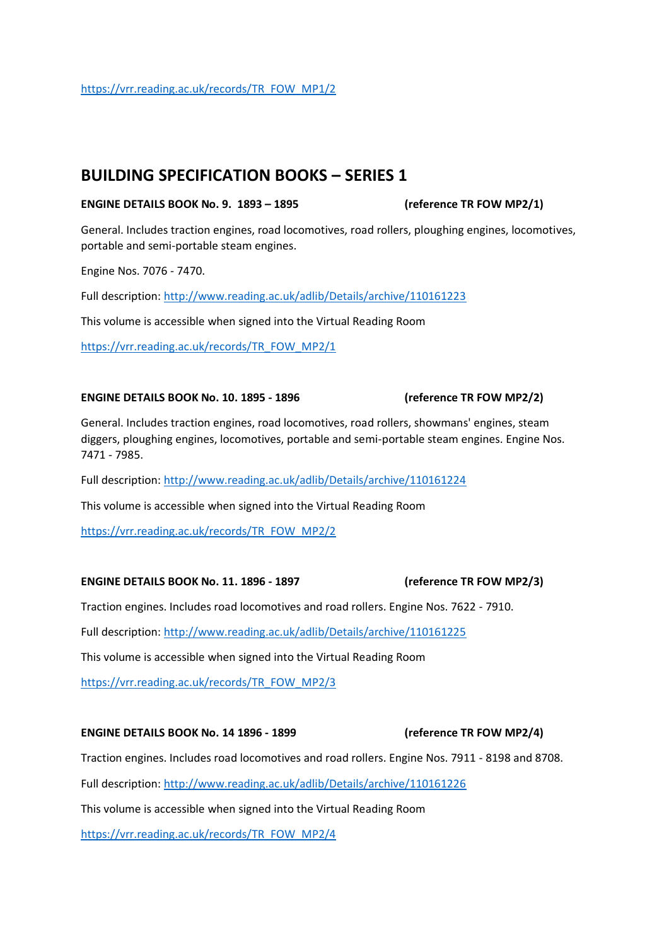# **BUILDING SPECIFICATION BOOKS – SERIES 1**

# **ENGINE DETAILS BOOK No. 9. 1893 – 1895 (reference TR FOW MP2/1)**

General. Includes traction engines, road locomotives, road rollers, ploughing engines, locomotives, portable and semi-portable steam engines.

Engine Nos. 7076 - 7470.

Full description:<http://www.reading.ac.uk/adlib/Details/archive/110161223>

This volume is accessible when signed into the Virtual Reading Room

[https://vrr.reading.ac.uk/records/TR\\_FOW\\_MP2/1](https://vrr.reading.ac.uk/records/TR_FOW_MP2/1)

### **ENGINE DETAILS BOOK No. 10. 1895 - 1896 (reference TR FOW MP2/2)**

General. Includes traction engines, road locomotives, road rollers, showmans' engines, steam diggers, ploughing engines, locomotives, portable and semi-portable steam engines. Engine Nos. 7471 - 7985.

Full description:<http://www.reading.ac.uk/adlib/Details/archive/110161224>

This volume is accessible when signed into the Virtual Reading Room

[https://vrr.reading.ac.uk/records/TR\\_FOW\\_MP2/2](https://vrr.reading.ac.uk/records/TR_FOW_MP2/2)

### **ENGINE DETAILS BOOK No. 11. 1896 - 1897 (reference TR FOW MP2/3)**

Traction engines. Includes road locomotives and road rollers. Engine Nos. 7622 - 7910.

Full description:<http://www.reading.ac.uk/adlib/Details/archive/110161225>

This volume is accessible when signed into the Virtual Reading Room

[https://vrr.reading.ac.uk/records/TR\\_FOW\\_MP2/3](https://vrr.reading.ac.uk/records/TR_FOW_MP2/3)

# **ENGINE DETAILS BOOK No. 14 1896 - 1899 (reference TR FOW MP2/4)**

Traction engines. Includes road locomotives and road rollers. Engine Nos. 7911 - 8198 and 8708.

Full description:<http://www.reading.ac.uk/adlib/Details/archive/110161226>

This volume is accessible when signed into the Virtual Reading Room

[https://vrr.reading.ac.uk/records/TR\\_FOW\\_MP2/4](https://vrr.reading.ac.uk/records/TR_FOW_MP2/4)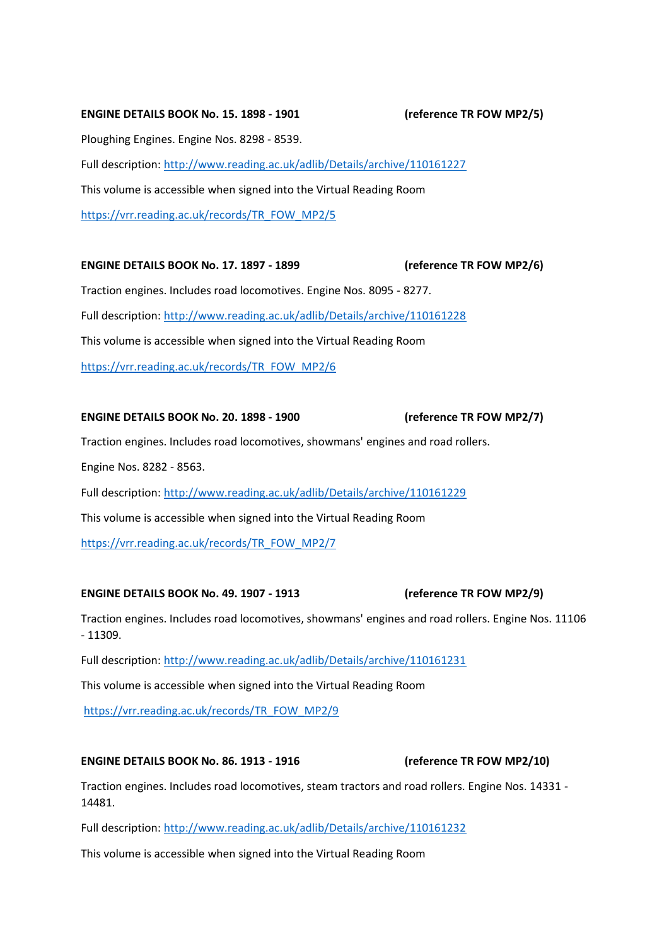### **ENGINE DETAILS BOOK No. 15. 1898 - 1901 (reference TR FOW MP2/5)**

Ploughing Engines. Engine Nos. 8298 - 8539.

Full description:<http://www.reading.ac.uk/adlib/Details/archive/110161227> This volume is accessible when signed into the Virtual Reading Room [https://vrr.reading.ac.uk/records/TR\\_FOW\\_MP2/5](https://vrr.reading.ac.uk/records/TR_FOW_MP2/5)

### **ENGINE DETAILS BOOK No. 17. 1897 - 1899 (reference TR FOW MP2/6)**

Traction engines. Includes road locomotives. Engine Nos. 8095 - 8277. Full description:<http://www.reading.ac.uk/adlib/Details/archive/110161228> This volume is accessible when signed into the Virtual Reading Room [https://vrr.reading.ac.uk/records/TR\\_FOW\\_MP2/6](https://vrr.reading.ac.uk/records/TR_FOW_MP2/6)

# **ENGINE DETAILS BOOK No. 20. 1898 - 1900 (reference TR FOW MP2/7)**

Traction engines. Includes road locomotives, showmans' engines and road rollers. Engine Nos. 8282 - 8563. Full description:<http://www.reading.ac.uk/adlib/Details/archive/110161229> This volume is accessible when signed into the Virtual Reading Room [https://vrr.reading.ac.uk/records/TR\\_FOW\\_MP2/7](https://vrr.reading.ac.uk/records/TR_FOW_MP2/7)

#### **ENGINE DETAILS BOOK No. 49. 1907 - 1913 (reference TR FOW MP2/9)**

Traction engines. Includes road locomotives, showmans' engines and road rollers. Engine Nos. 11106  $-11309$ 

Full description:<http://www.reading.ac.uk/adlib/Details/archive/110161231>

This volume is accessible when signed into the Virtual Reading Room

[https://vrr.reading.ac.uk/records/TR\\_FOW\\_MP2/9](https://vrr.reading.ac.uk/records/TR_FOW_MP2/9)

### **ENGINE DETAILS BOOK No. 86. 1913 - 1916 (reference TR FOW MP2/10)**

Traction engines. Includes road locomotives, steam tractors and road rollers. Engine Nos. 14331 - 14481.

Full description:<http://www.reading.ac.uk/adlib/Details/archive/110161232>

This volume is accessible when signed into the Virtual Reading Room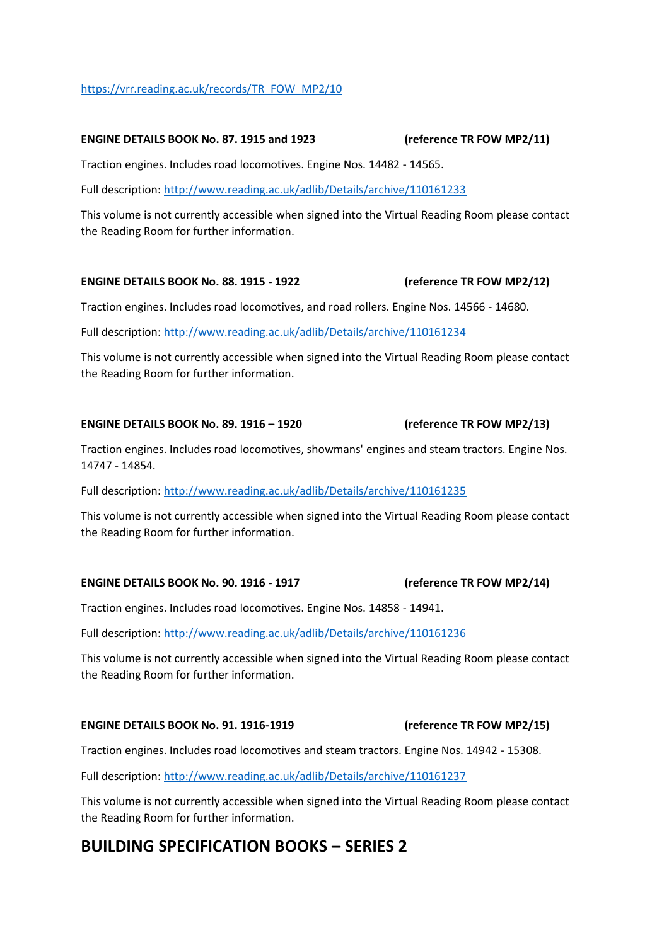# [https://vrr.reading.ac.uk/records/TR\\_FOW\\_MP2/10](https://vrr.reading.ac.uk/records/TR_FOW_MP2/10)

### **ENGINE DETAILS BOOK No. 87. 1915 and 1923 (reference TR FOW MP2/11)**

Traction engines. Includes road locomotives. Engine Nos. 14482 - 14565.

Full description:<http://www.reading.ac.uk/adlib/Details/archive/110161233>

This volume is not currently accessible when signed into the Virtual Reading Room please contact the Reading Room for further information.

### **ENGINE DETAILS BOOK No. 88. 1915 - 1922 (reference TR FOW MP2/12)**

Traction engines. Includes road locomotives, and road rollers. Engine Nos. 14566 - 14680.

Full description:<http://www.reading.ac.uk/adlib/Details/archive/110161234>

This volume is not currently accessible when signed into the Virtual Reading Room please contact the Reading Room for further information.

### **ENGINE DETAILS BOOK No. 89. 1916 – 1920 (reference TR FOW MP2/13)**

Traction engines. Includes road locomotives, showmans' engines and steam tractors. Engine Nos. 14747 - 14854.

Full description:<http://www.reading.ac.uk/adlib/Details/archive/110161235>

This volume is not currently accessible when signed into the Virtual Reading Room please contact the Reading Room for further information.

### **ENGINE DETAILS BOOK No. 90. 1916 - 1917 (reference TR FOW MP2/14)**

Traction engines. Includes road locomotives. Engine Nos. 14858 - 14941.

Full description:<http://www.reading.ac.uk/adlib/Details/archive/110161236>

This volume is not currently accessible when signed into the Virtual Reading Room please contact the Reading Room for further information.

### **ENGINE DETAILS BOOK No. 91. 1916-1919 (reference TR FOW MP2/15)**

Traction engines. Includes road locomotives and steam tractors. Engine Nos. 14942 - 15308.

Full description:<http://www.reading.ac.uk/adlib/Details/archive/110161237>

This volume is not currently accessible when signed into the Virtual Reading Room please contact the Reading Room for further information.

# **BUILDING SPECIFICATION BOOKS – SERIES 2**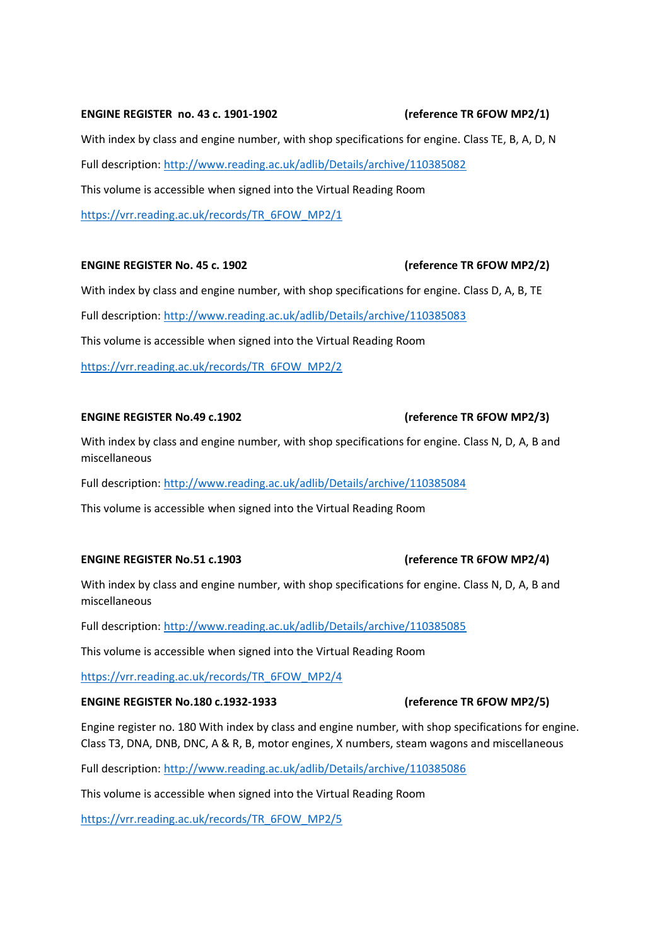### **ENGINE REGISTER no. 43 c. 1901-1902 (reference TR 6FOW MP2/1)**

With index by class and engine number, with shop specifications for engine. Class TE, B, A, D, N Full description:<http://www.reading.ac.uk/adlib/Details/archive/110385082> This volume is accessible when signed into the Virtual Reading Room [https://vrr.reading.ac.uk/records/TR\\_6FOW\\_MP2/1](https://vrr.reading.ac.uk/records/TR_6FOW_MP2/1)

# **ENGINE REGISTER No. 45 c. 1902 (reference TR 6FOW MP2/2)**

With index by class and engine number, with shop specifications for engine. Class D, A, B, TE Full description:<http://www.reading.ac.uk/adlib/Details/archive/110385083> This volume is accessible when signed into the Virtual Reading Room [https://vrr.reading.ac.uk/records/TR\\_6FOW\\_MP2/2](https://vrr.reading.ac.uk/records/TR_6FOW_MP2/2)

## **ENGINE REGISTER No.49 c.1902 (reference TR 6FOW MP2/3)**

With index by class and engine number, with shop specifications for engine. Class N, D, A, B and miscellaneous

Full description:<http://www.reading.ac.uk/adlib/Details/archive/110385084>

This volume is accessible when signed into the Virtual Reading Room

# **ENGINE REGISTER No.51 c.1903 (reference TR 6FOW MP2/4)**

With index by class and engine number, with shop specifications for engine. Class N, D, A, B and miscellaneous

Full description:<http://www.reading.ac.uk/adlib/Details/archive/110385085>

This volume is accessible when signed into the Virtual Reading Room

[https://vrr.reading.ac.uk/records/TR\\_6FOW\\_MP2/4](https://vrr.reading.ac.uk/records/TR_6FOW_MP2/4)

### **ENGINE REGISTER No.180 c.1932-1933 (reference TR 6FOW MP2/5)**

Engine register no. 180 With index by class and engine number, with shop specifications for engine. Class T3, DNA, DNB, DNC, A & R, B, motor engines, X numbers, steam wagons and miscellaneous

Full description:<http://www.reading.ac.uk/adlib/Details/archive/110385086>

This volume is accessible when signed into the Virtual Reading Room

[https://vrr.reading.ac.uk/records/TR\\_6FOW\\_MP2/5](https://vrr.reading.ac.uk/records/TR_6FOW_MP2/5)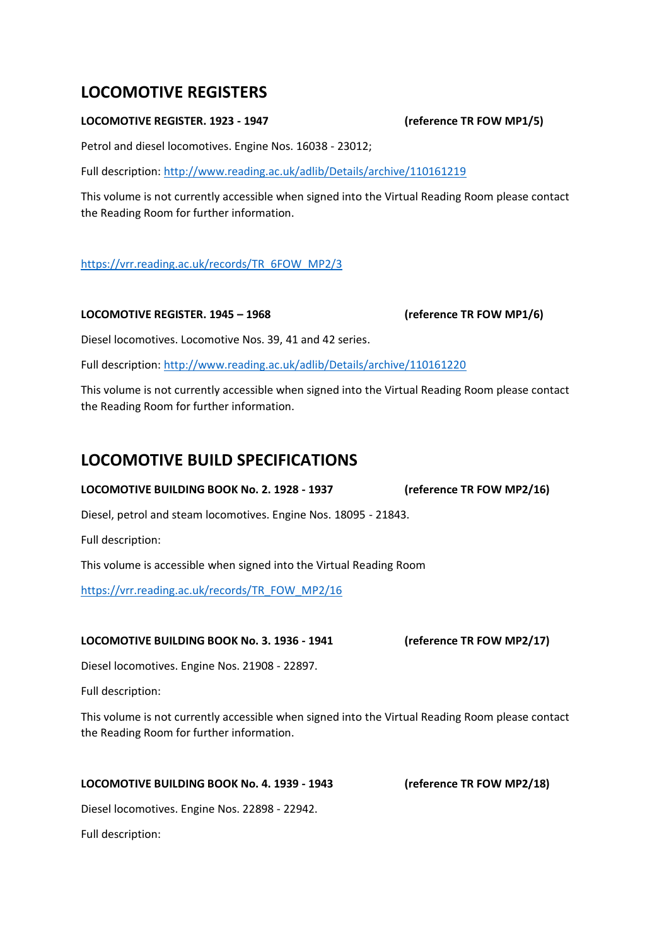# **LOCOMOTIVE REGISTERS**

# **LOCOMOTIVE REGISTER. 1923 - 1947 (reference TR FOW MP1/5)**

Petrol and diesel locomotives. Engine Nos. 16038 - 23012;

Full description:<http://www.reading.ac.uk/adlib/Details/archive/110161219>

This volume is not currently accessible when signed into the Virtual Reading Room please contact the Reading Room for further information.

# [https://vrr.reading.ac.uk/records/TR\\_6FOW\\_MP2/3](https://vrr.reading.ac.uk/records/TR_6FOW_MP2/3)

# **LOCOMOTIVE REGISTER. 1945 – 1968 (reference TR FOW MP1/6)**

Diesel locomotives. Locomotive Nos. 39, 41 and 42 series.

Full description:<http://www.reading.ac.uk/adlib/Details/archive/110161220>

This volume is not currently accessible when signed into the Virtual Reading Room please contact the Reading Room for further information.

# **LOCOMOTIVE BUILD SPECIFICATIONS**

**LOCOMOTIVE BUILDING BOOK No. 2. 1928 - 1937 (reference TR FOW MP2/16)**

Diesel, petrol and steam locomotives. Engine Nos. 18095 - 21843.

Full description:

This volume is accessible when signed into the Virtual Reading Room

[https://vrr.reading.ac.uk/records/TR\\_FOW\\_MP2/16](https://vrr.reading.ac.uk/records/TR_FOW_MP2/16)

# **LOCOMOTIVE BUILDING BOOK No. 3. 1936 - 1941 (reference TR FOW MP2/17)**

Diesel locomotives. Engine Nos. 21908 - 22897.

Full description:

This volume is not currently accessible when signed into the Virtual Reading Room please contact the Reading Room for further information.

# **LOCOMOTIVE BUILDING BOOK No. 4. 1939 - 1943 (reference TR FOW MP2/18)**

Diesel locomotives. Engine Nos. 22898 - 22942.

Full description: